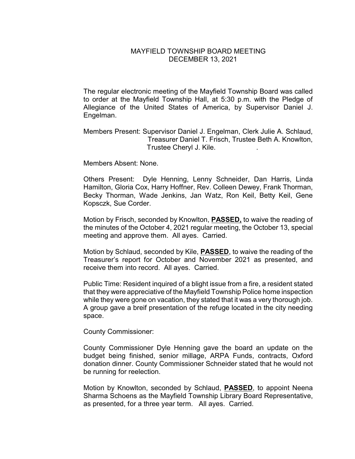## MAYFIELD TOWNSHIP BOARD MEETING DECEMBER 13, 2021

The regular electronic meeting of the Mayfield Township Board was called to order at the Mayfield Township Hall, at 5:30 p.m. with the Pledge of Allegiance of the United States of America, by Supervisor Daniel J. Engelman.

Members Present: Supervisor Daniel J. Engelman, Clerk Julie A. Schlaud, Treasurer Daniel T. Frisch, Trustee Beth A. Knowlton, Trustee Cheryl J. Kile. .

Members Absent: None.

Others Present: Dyle Henning, Lenny Schneider, Dan Harris, Linda Hamilton, Gloria Cox, Harry Hoffner, Rev. Colleen Dewey, Frank Thorman, Becky Thorman, Wade Jenkins, Jan Watz, Ron Keil, Betty Keil, Gene Kopsczk, Sue Corder.

Motion by Frisch, seconded by Knowlton, **PASSED,** to waive the reading of the minutes of the October 4, 2021 regular meeting, the October 13, special meeting and approve them. All ayes. Carried.

Motion by Schlaud, seconded by Kile, **PASSED**, to waive the reading of the Treasurer's report for October and November 2021 as presented, and receive them into record. All ayes. Carried.

Public Time: Resident inquired of a blight issue from a fire, a resident stated that they were appreciative of the Mayfield Township Police home inspection while they were gone on vacation, they stated that it was a very thorough job. A group gave a breif presentation of the refuge located in the city needing space.

County Commissioner:

County Commissioner Dyle Henning gave the board an update on the budget being finished, senior millage, ARPA Funds, contracts, Oxford donation dinner. County Commissioner Schneider stated that he would not be running for reelection.

Motion by Knowlton, seconded by Schlaud, **PASSED**, to appoint Neena Sharma Schoens as the Mayfield Township Library Board Representative, as presented, for a three year term. All ayes. Carried.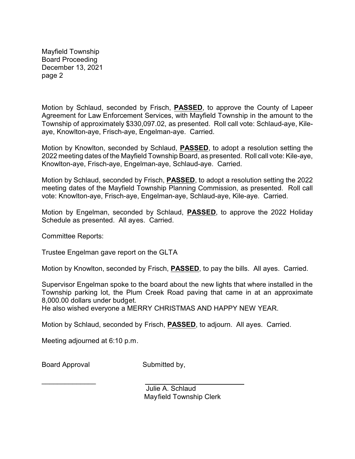Mayfield Township Board Proceeding December 13, 2021 page 2

Motion by Schlaud, seconded by Frisch, **PASSED**, to approve the County of Lapeer Agreement for Law Enforcement Services, with Mayfield Township in the amount to the Township of approximately \$330,097.02, as presented. Roll call vote: Schlaud-aye, Kileaye, Knowlton-aye, Frisch-aye, Engelman-aye. Carried.

Motion by Knowlton, seconded by Schlaud, **PASSED**, to adopt a resolution setting the 2022 meeting dates of the Mayfield Township Board, as presented. Roll call vote: Kile-aye, Knowlton-aye, Frisch-aye, Engelman-aye, Schlaud-aye. Carried.

Motion by Schlaud, seconded by Frisch, **PASSED**, to adopt a resolution setting the 2022 meeting dates of the Mayfield Township Planning Commission, as presented. Roll call vote: Knowlton-aye, Frisch-aye, Engelman-aye, Schlaud-aye, Kile-aye. Carried.

Motion by Engelman, seconded by Schlaud, **PASSED**, to approve the 2022 Holiday Schedule as presented. All ayes. Carried.

Committee Reports:

Trustee Engelman gave report on the GLTA

Motion by Knowlton, seconded by Frisch, **PASSED**, to pay the bills. All ayes. Carried.

Supervisor Engelman spoke to the board about the new lights that where installed in the Township parking lot, the Plum Creek Road paving that came in at an approximate 8,000.00 dollars under budget.

He also wished everyone a MERRY CHRISTMAS AND HAPPY NEW YEAR.

Motion by Schlaud, seconded by Frisch, **PASSED**, to adjourn. All ayes. Carried.

Meeting adjourned at 6:10 p.m.

 $\mathcal{L}_\text{max}$  . The set of the set of the set of the set of the set of the set of the set of the set of the set of the set of the set of the set of the set of the set of the set of the set of the set of the set of the set

Board Approval Submitted by,

Julie A. Schlaud Mayfield Township Clerk